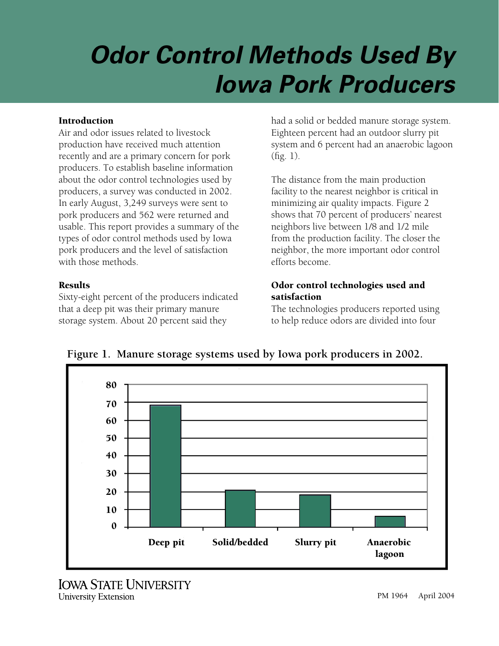# *Odor Control Methods Used By Iowa Pork Producers*

#### Introduction

Air and odor issues related to livestock production have received much attention recently and are a primary concern for pork producers. To establish baseline information about the odor control technologies used by producers, a survey was conducted in 2002. In early August, 3,249 surveys were sent to pork producers and 562 were returned and usable. This report provides a summary of the types of odor control methods used by Iowa pork producers and the level of satisfaction with those methods.

#### Results

Sixty-eight percent of the producers indicated that a deep pit was their primary manure storage system. About 20 percent said they

had a solid or bedded manure storage system. Eighteen percent had an outdoor slurry pit system and 6 percent had an anaerobic lagoon (fig. 1).

The distance from the main production facility to the nearest neighbor is critical in minimizing air quality impacts. Figure 2 shows that 70 percent of producers' nearest neighbors live between 1/8 and 1/2 mile from the production facility. The closer the neighbor, the more important odor control efforts become.

# Odor control technologies used and satisfaction

The technologies producers reported using to help reduce odors are divided into four



**Figure 1. Manure storage systems used by Iowa pork producers in 2002.**

**IOWA STATE UNIVERSITY** University Extension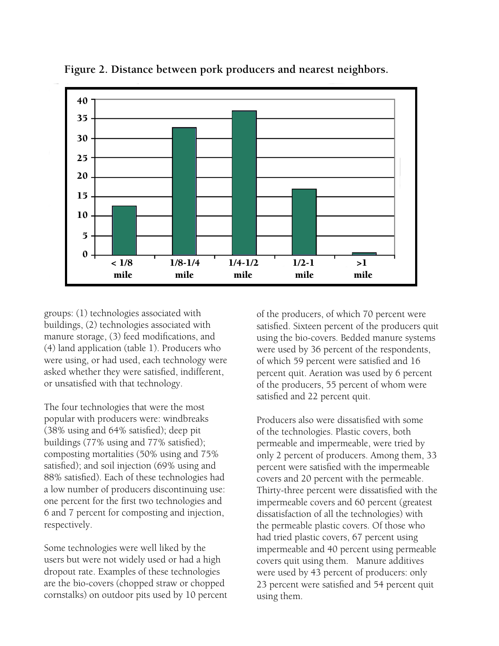

**Figure 2. Distance between pork producers and nearest neighbors.**

groups: (1) technologies associated with buildings, (2) technologies associated with manure storage, (3) feed modifications, and (4) land application (table 1). Producers who were using, or had used, each technology were asked whether they were satisfied, indifferent, or unsatisfied with that technology.

The four technologies that were the most popular with producers were: windbreaks (38% using and 64% satisfied); deep pit buildings (77% using and 77% satisfied); composting mortalities (50% using and 75% satisfied); and soil injection (69% using and 88% satisfied). Each of these technologies had a low number of producers discontinuing use: one percent for the first two technologies and 6 and 7 percent for composting and injection, respectively.

Some technologies were well liked by the users but were not widely used or had a high dropout rate. Examples of these technologies are the bio-covers (chopped straw or chopped cornstalks) on outdoor pits used by 10 percent of the producers, of which 70 percent were satisfied. Sixteen percent of the producers quit using the bio-covers. Bedded manure systems were used by 36 percent of the respondents, of which 59 percent were satisfied and 16 percent quit. Aeration was used by 6 percent of the producers, 55 percent of whom were satisfied and 22 percent quit.

Producers also were dissatisfied with some of the technologies. Plastic covers, both permeable and impermeable, were tried by only 2 percent of producers. Among them, 33 percent were satisfied with the impermeable covers and 20 percent with the permeable. Thirty-three percent were dissatisfied with the impermeable covers and 60 percent (greatest dissatisfaction of all the technologies) with the permeable plastic covers. Of those who had tried plastic covers, 67 percent using impermeable and 40 percent using permeable covers quit using them. Manure additives were used by 43 percent of producers: only 23 percent were satisfied and 54 percent quit using them.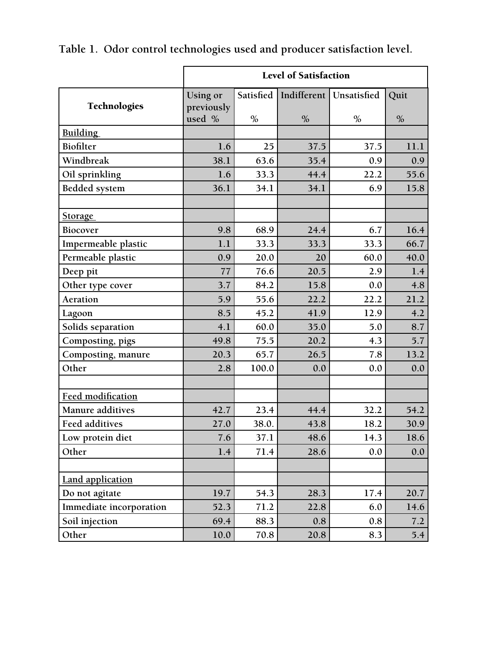|                          | <b>Level of Satisfaction</b> |           |      |                           |      |
|--------------------------|------------------------------|-----------|------|---------------------------|------|
|                          | Using or                     | Satisfied |      | Indifferent   Unsatisfied | Quit |
| <b>Technologies</b>      | previously<br>used %         | $\%$      | $\%$ | $\%$                      | $\%$ |
| <b>Building</b>          |                              |           |      |                           |      |
| <b>Biofilter</b>         | 1.6                          | 25        | 37.5 | 37.5                      | 11.1 |
| Windbreak                | 38.1                         | 63.6      | 35.4 | 0.9                       | 0.9  |
| Oil sprinkling           | 1.6                          | 33.3      | 44.4 | 22.2                      | 55.6 |
| <b>Bedded system</b>     | 36.1                         | 34.1      | 34.1 | 6.9                       | 15.8 |
|                          |                              |           |      |                           |      |
| <b>Storage</b>           |                              |           |      |                           |      |
| Biocover                 | 9.8                          | 68.9      | 24.4 | 6.7                       | 16.4 |
| Impermeable plastic      | 1.1                          | 33.3      | 33.3 | 33.3                      | 66.7 |
| Permeable plastic        | 0.9                          | 20.0      | 20   | 60.0                      | 40.0 |
| Deep pit                 | 77                           | 76.6      | 20.5 | 2.9                       | 1.4  |
| Other type cover         | 3.7                          | 84.2      | 15.8 | 0.0                       | 4.8  |
| Aeration                 | 5.9                          | 55.6      | 22.2 | 22.2                      | 21.2 |
| Lagoon                   | 8.5                          | 45.2      | 41.9 | 12.9                      | 4.2  |
| Solids separation        | 4.1                          | 60.0      | 35.0 | 5.0                       | 8.7  |
| Composting, pigs         | 49.8                         | 75.5      | 20.2 | 4.3                       | 5.7  |
| Composting, manure       | 20.3                         | 65.7      | 26.5 | 7.8                       | 13.2 |
| Other                    | 2.8                          | 100.0     | 0.0  | 0.0                       | 0.0  |
|                          |                              |           |      |                           |      |
| <b>Feed modification</b> |                              |           |      |                           |      |
| Manure additives         | 42.7                         | 23.4      | 44.4 | 32.2                      | 54.2 |
| <b>Feed additives</b>    | 27.0                         | 38.0.     | 43.8 | 18.2                      | 30.9 |
| Low protein diet         | 7.6                          | 37.1      | 48.6 | 14.3                      | 18.6 |
| Other                    | 1.4                          | 71.4      | 28.6 | 0.0                       | 0.0  |
| <b>Land application</b>  |                              |           |      |                           |      |
| Do not agitate           | 19.7                         | 54.3      | 28.3 | 17.4                      | 20.7 |
| Immediate incorporation  | 52.3                         | 71.2      | 22.8 | 6.0                       | 14.6 |
| Soil injection           | 69.4                         | 88.3      | 0.8  | 0.8                       | 7.2  |
| Other                    | 10.0                         | 70.8      | 20.8 | 8.3                       | 5.4  |

**Table 1. Odor control technologies used and producer satisfaction level.**